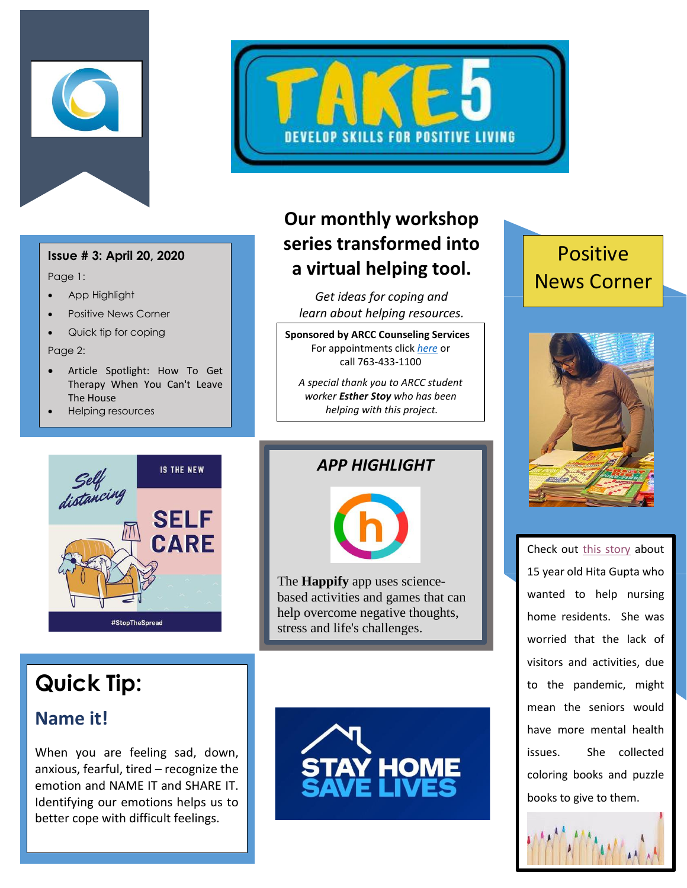



Page 1:

- App Highlight
- Positive News Corner
- Quick tip for coping

Page 2:

- Article Spotlight: How To Get Therapy When You Can't Leave The House
- Helping resources



## **Our monthly workshop series transformed into a virtual helping tool.**

*Get ideas for coping and learn about helping resources.*

**Sponsored by ARCC Counseling Services** For appointments click *[here](http://www.anokaramsey.edu/resources/counseling-services/personal-counseling/)* or call 763-433-1100

*A special thank you to ARCC student worker Esther Stoy who has been helping with this project.*

## Positive News Corner









*APP HIGHLIGHT*



The **Happify** app uses sciencebased activities and games that can help overcome negative thoughts, stress and life's challenges.

## **Quick Tip:**

## **Name it!**

When you are feeling sad, down, anxious, fearful, tired – recognize the emotion and NAME IT and SHARE IT. Identifying our emotions helps us to better cope with difficult feelings.